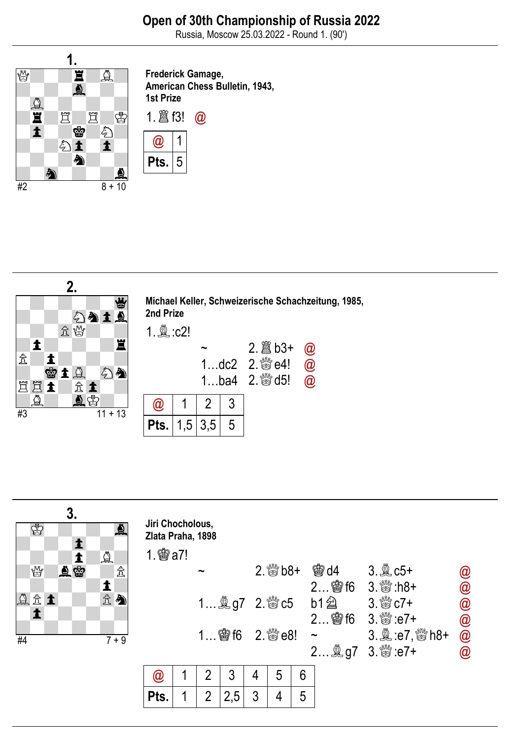Russia, Moscow 25.03.2022 - Round 1. (90')



Frederick Gamage, American Chess Bulletin, 1943, 1st Prize





| ♔          | 3. | ♨                             | Jiri Chocholous,<br>Zlata Praha, 1898 |  |                       |                         |                             |   |   |                                    |                 |                                              |
|------------|----|-------------------------------|---------------------------------------|--|-----------------------|-------------------------|-----------------------------|---|---|------------------------------------|-----------------|----------------------------------------------|
|            |    | $\Delta$                      | $1.$ 鬱 a7!                            |  |                       |                         |                             |   |   |                                    |                 |                                              |
| y          | 鱼鳖 | $\mathcal{\mathcal{\hat{X}}}$ |                                       |  | $\tilde{\phantom{a}}$ |                         |                             |   |   | $2.$ % $b8+$ $b8$ d4               | $3.2$ $c5+$     |                                              |
|            |    | 主                             |                                       |  |                       |                         |                             |   |   |                                    | 2 窗f6 3. & :h8+ |                                              |
| <b>QR1</b> |    | 公会                            |                                       |  |                       |                         | 1 息g7 2. & c5 b1 a 3. & c7+ |   |   |                                    |                 |                                              |
|            |    |                               |                                       |  |                       |                         |                             |   |   |                                    |                 |                                              |
| #4         |    | $7 + 9$                       |                                       |  |                       | $1$ \$ 16 $2.$ \state8! |                             |   |   | $\thicksim$                        |                 | $\circledcirc$ $\circledcirc$ $\circledcirc$ |
|            |    |                               |                                       |  |                       |                         |                             |   |   | 2 <b>A</b> g7 3. <sup>8</sup> :e7+ | $\circleda$     |                                              |
|            |    |                               | a                                     |  | 2                     | 3                       | 4                           | 5 | 6 |                                    |                 |                                              |
|            |    |                               | Pts.                                  |  | $\overline{2}$        | 2,5                     | 3                           |   | 5 |                                    |                 |                                              |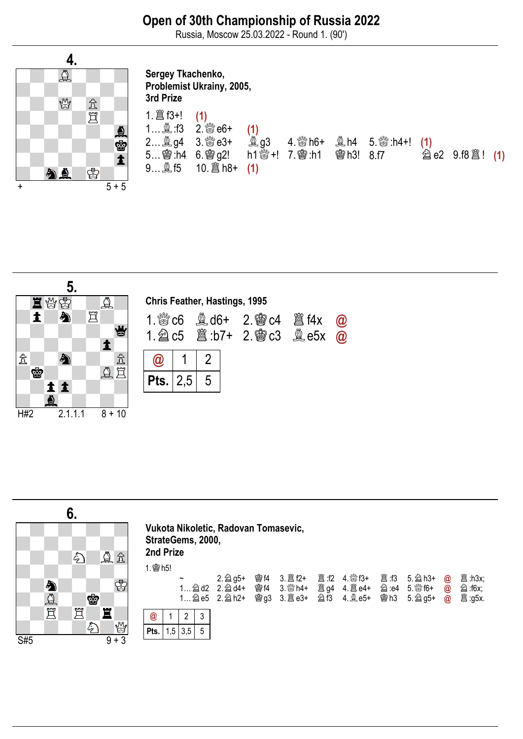Russia, Moscow 25.03.2022 - Round 1. (90')



## Sergey Tkachenko, Problemist Ukrainy, 2005, 3rd Prize 1.♖f3+! (1) 1…♗:f3 2.♕e6+ (1) 2…♗g4 3.♕e3+ ♗g3 4.♕h6+ ♗h4 5.♕:h4+! (1)  $5...$   $\overline{®}$ :h4  $6.$   $\overline{®}$   $92!$ <br> $9...$   $\overset{6}{\cancel{2}}$   $15$   $10.$   $\overset{6}{\cancel{2}}$  h8  $10.\n \ \mathbb{E} \text{h8+} \quad (1)$



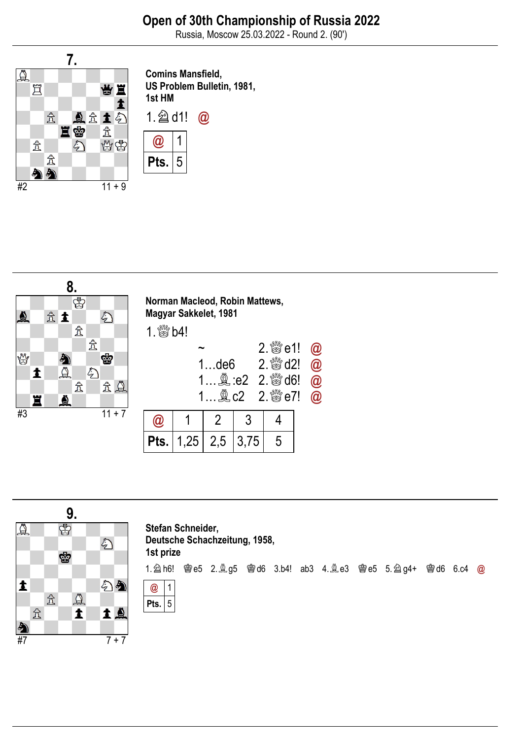Russia, Moscow 25.03.2022 - Round 2. (90')



Comins Mansfield, US Problem Bulletin, 1981, 1st HM